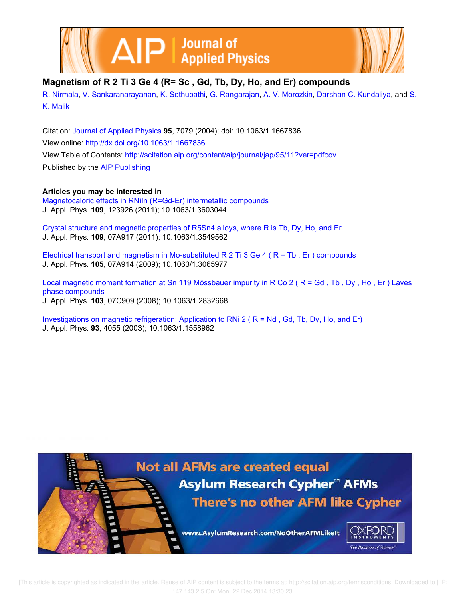



## **Magnetism of R 2 Ti 3 Ge 4 (R= Sc , Gd, Tb, Dy, Ho, and Er) compounds**

R. Nirmala, V. Sankaranarayanan, K. Sethupathi, G. Rangarajan, A. V. Morozkin, Darshan C. Kundaliya, and S. K. Malik

Citation: Journal of Applied Physics **95**, 7079 (2004); doi: 10.1063/1.1667836 View online: http://dx.doi.org/10.1063/1.1667836 View Table of Contents: http://scitation.aip.org/content/aip/journal/jap/95/11?ver=pdfcov Published by the AIP Publishing

### **Articles you may be interested in**

Magnetocaloric effects in RNiIn (R=Gd-Er) intermetallic compounds J. Appl. Phys. **109**, 123926 (2011); 10.1063/1.3603044

Crystal structure and magnetic properties of R5Sn4 alloys, where R is Tb, Dy, Ho, and Er J. Appl. Phys. **109**, 07A917 (2011); 10.1063/1.3549562

Electrical transport and magnetism in Mo-substituted R 2 Ti 3 Ge 4 ( R = Tb , Er ) compounds J. Appl. Phys. **105**, 07A914 (2009); 10.1063/1.3065977

Local magnetic moment formation at Sn 119 Mössbauer impurity in R Co 2 (R = Gd, Tb, Dy, Ho, Er) Laves phase compounds J. Appl. Phys. **103**, 07C909 (2008); 10.1063/1.2832668

Investigations on magnetic refrigeration: Application to RNi 2 ( R = Nd , Gd, Tb, Dy, Ho, and Er) J. Appl. Phys. **93**, 4055 (2003); 10.1063/1.1558962



 [This article is copyrighted as indicated in the article. Reuse of AIP content is subject to the terms at: http://scitation.aip.org/termsconditions. Downloaded to ] IP: 147.143.2.5 On: Mon, 22 Dec 2014 13:30:23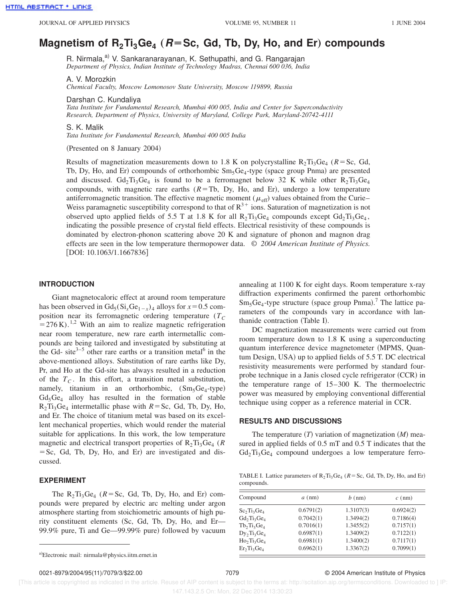# Magnetism of R<sub>2</sub>Ti<sub>3</sub>Ge<sub>4</sub> (R=Sc, Gd, Tb, Dy, Ho, and Er) compounds

R. Nirmala,<sup>a)</sup> V. Sankaranarayanan, K. Sethupathi, and G. Rangarajan *Department of Physics, Indian Institute of Technology Madras, Chennai 600 036, India*

A. V. Morozkin

*Chemical Faculty, Moscow Lomonosov State University, Moscow 119899, Russia*

Darshan C. Kundaliya

*Tata Institute for Fundamental Research, Mumbai 400 005, India and Center for Superconductivity Research, Department of Physics, University of Maryland, College Park, Maryland-20742-4111*

S. K. Malik

*Tata Institute for Fundamental Research, Mumbai 400 005 India*

(Presented on 8 January 2004)

Results of magnetization measurements down to 1.8 K on polycrystalline  $R_2Ti_3Ge_4$  ( $R=Sc$ , Gd, Tb, Dy, Ho, and Er) compounds of orthorhombic  $Sm_5Ge_4$ -type (space group Pnma) are presented and discussed.  $Gd_2Ti_3Ge_4$  is found to be a ferromagnet below 32 K while other  $R_2Ti_3Ge_4$ compounds, with magnetic rare earths  $(R = Tb, Dy, Ho, and Er)$ , undergo a low temperature antiferromagnetic transition. The effective magnetic moment ( $\mu_{\text{eff}}$ ) values obtained from the Curie– Weiss paramagnetic susceptibility correspond to that of  $R^{3+}$  ions. Saturation of magnetization is not observed upto applied fields of 5.5 T at 1.8 K for all  $R_2Ti_3Ge_4$  compounds except  $Gd_2Ti_3Ge_4$ , indicating the possible presence of crystal field effects. Electrical resistivity of these compounds is dominated by electron-phonon scattering above 20 K and signature of phonon and magnon drag effects are seen in the low temperature thermopower data. © *2004 American Institute of Physics.* [DOI: 10.1063/1.1667836]

#### **INTRODUCTION**

Giant magnetocaloric effect at around room temperature has been observed in  $Gd_5(Si_xGe_{1-x})_4$  alloys for  $x=0.5$  composition near its ferromagnetic ordering temperature  $(T_C)$  $=$  276 K).<sup>1,2</sup> With an aim to realize magnetic refrigeration near room temperature, new rare earth intermetallic compounds are being tailored and investigated by substituting at the Gd- site<sup>3-5</sup> other rare earths or a transition metal<sup>6</sup> in the above-mentioned alloys. Substitution of rare earths like Dy, Pr, and Ho at the Gd-site has always resulted in a reduction of the *T<sup>C</sup>* . In this effort, a transition metal substitution, namely, titanium in an orthorhombic,  $(Sm_5Ge_4$ -type)  $Gd_5Ge_4$  alloy has resulted in the formation of stable  $R_2Ti_3Ge_4$  intermetallic phase with  $R=Sc$ , Gd, Tb, Dy, Ho, and Er. The choice of titanium metal was based on its excellent mechanical properties, which would render the material suitable for applications. In this work, the low temperature magnetic and electrical transport properties of  $R_2Ti_3Ge_4$  ( $R$  $=$  Sc, Gd, Tb, Dy, Ho, and Er) are investigated and discussed.

#### **EXPERIMENT**

The  $R_2Ti_3Ge_4$  ( $R=Sc$ , Gd, Tb, Dy, Ho, and Er) compounds were prepared by electric arc melting under argon atmosphere starting from stoichiometric amounts of high purity constituent elements (Sc, Gd, Tb, Dy, Ho, and Er- $99.9\%$  pure, Ti and Ge—99.99% pure) followed by vacuum annealing at 1100 K for eight days. Room temperature x-ray diffraction experiments confirmed the parent orthorhombic  $Sm_5Ge_4$ -type structure (space group Pnma).<sup>7</sup> The lattice parameters of the compounds vary in accordance with lanthanide contraction (Table I).

DC magnetization measurements were carried out from room temperature down to 1.8 K using a superconducting quantum interference device magnetometer (MPMS, Quantum Design, USA) up to applied fields of 5.5 T. DC electrical resistivity measurements were performed by standard fourprobe technique in a Janis closed cycle refrigerator (CCR) in the temperature range of 15–300 K. The thermoelectric power was measured by employing conventional differential technique using copper as a reference material in CCR.

#### **RESULTS AND DISCUSSIONS**

The temperature  $(T)$  variation of magnetization  $(M)$  measured in applied fields of 0.5 mT and 0.5 T indicates that the  $Gd_2Ti_3Ge_4$  compound undergoes a low temperature ferro-

TABLE I. Lattice parameters of  $R_2Ti_3Ge_4$  ( $R = Sc$ , Gd, Tb, Dy, Ho, and Er) compounds.

| Compound       | $a$ (nm)  | $b$ (nm)  | $c$ (nm)  |  |
|----------------|-----------|-----------|-----------|--|
| $Sc_2Ti_3Ge_4$ | 0.6791(2) | 1.3107(3) | 0.6924(2) |  |
| $Gd_2Ti_3Ge_4$ | 0.7042(1) | 1.3494(2) | 0.7186(4) |  |
| $Tb_2Ti_3Ge_4$ | 0.7016(1) | 1.3455(2) | 0.7157(1) |  |
| $Dy_2Ti_3Ge_4$ | 0.6987(1) | 1.3409(2) | 0.7122(1) |  |
| $Ho_2Ti_3Ge_4$ | 0.6981(1) | 1.3400(2) | 0.7117(1) |  |
| $Er_2Ti_3Ge_4$ | 0.6962(1) | 1.3367(2) | 0.7099(1) |  |

 [This article is copyrighted as indicated in the article. Reuse of AIP content is subject to the terms at: http://scitation.aip.org/termsconditions. Downloaded to ] IP: 147.143.2.5 On: Mon, 22 Dec 2014 13:30:23

a)Electronic mail: nirmala@physics.iitm.ernet.in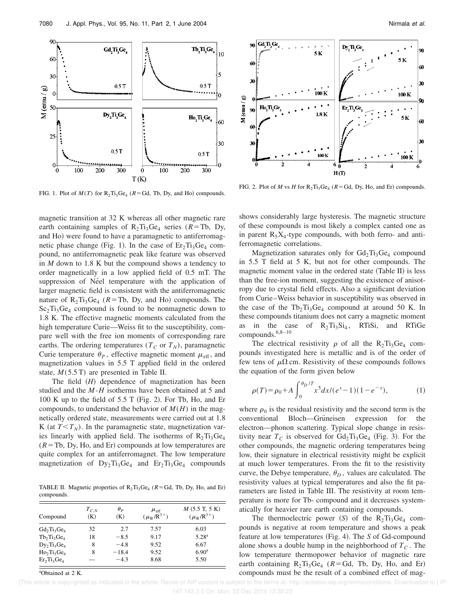

FIG. 1. Plot of  $M(T)$  for  $R_2Ti_3Ge_4$  ( $R = Gd$ , Tb, Dy, and Ho) compounds.

magnetic transition at 32 K whereas all other magnetic rare earth containing samples of  $R_2Ti_3Ge_4$  series ( $R=Th$ , Dy, and Ho) were found to have a paramagnetic to antiferromagnetic phase change (Fig. 1). In the case of  $Er_2Ti_3Ge_4$  compound, no antiferromagnetic peak like feature was observed in *M* down to 1.8 K but the compound shows a tendency to order magnetically in a low applied field of 0.5 mT. The suppression of Néel temperature with the application of larger magnetic field is consistent with the antiferromagnetic nature of  $R_2Ti_3Ge_4$  ( $R=Th$ , Dy, and Ho) compounds. The  $Sc<sub>2</sub>Ti<sub>3</sub>Ge<sub>4</sub>$  compound is found to be nonmagnetic down to 1.8 K. The effective magnetic moments calculated from the high temperature Curie—Weiss fit to the susceptibility, compare well with the free ion moments of corresponding rare earths. The ordering temperatures ( $T_C$  or  $T_N$ ), paramagnetic Curie temperature  $\theta_P$ , effective magnetic moment  $\mu_{\text{eff}}$ , and magnetization values in 5.5 T applied field in the ordered state, *M*(5.5 T) are presented in Table II.

The field  $(H)$  dependence of magnetization has been studied and the *M*-*H* isotherms have been obtained at 5 and 100 K up to the field of  $5.5 T$  (Fig. 2). For Tb, Ho, and Er compounds, to understand the behavior of  $M(H)$  in the magnetically ordered state, measurements were carried out at 1.8 K (at  $T < T_N$ ). In the paramagnetic state, magnetization varies linearly with applied field. The isotherms of  $R_2Ti_3Ge_4$  $(R = Tb, Dy, Ho, and Er)$  compounds at low temperatures are quite complex for an antiferromagnet. The low temperature magnetization of  $Dy_2Ti_3Ge_4$  and  $Er_2Ti_3Ge_4$  compounds

TABLE II. Magnetic properties of  $R_2Ti_3Ge_4$  ( $R = Gd$ , Tb, Dy, Ho, and Er) compounds.

| Compound       | $T_{C,N}$<br>(K) | $\theta_P$<br>(K) | $\mu_{\rm eff}$<br>$(\mu_{\rm B}/R^{3+})$ | $M$ (5.5 T, 5 K)<br>$(\mu_B/R^{3+})$ |
|----------------|------------------|-------------------|-------------------------------------------|--------------------------------------|
| $Gd_2Ti_3Ge_4$ | 32               | 2.7               | 7.57                                      | 6.03                                 |
| $Tb_2Ti_3Ge_4$ | 18               | $-8.5$            | 9.17                                      | 5.28 <sup>a</sup>                    |
| $Dy_2Ti_3Ge_4$ | 8                | $-4.8$            | 9.52                                      | 6.67                                 |
| $Ho_2Ti_3Ge_4$ | 8                | $-18.4$           | 9.52                                      | 6.90 <sup>a</sup>                    |
| $Er_2Ti_3Ge_4$ |                  | $-4.3$            | 8.68                                      | 5.50                                 |

<sup>a</sup>Obtained at 2 K.



FIG. 2. Plot of *M* vs *H* for  $R_2Ti_3Ge_4$  ( $R = Gd$ , Dy, Ho, and Er) compounds.

shows considerably large hysteresis. The magnetic structure of these compounds is most likely a complex canted one as in parent  $R_5X_4$ -type compounds, with both ferro- and antiferromagnetic correlations.

Magnetization saturates only for  $Gd_2Ti_3Ge_4$  compound in 5.5 T field at 5 K, but not for other compounds. The magnetic moment value in the ordered state (Table II) is less than the free-ion moment, suggesting the existence of anisotropy due to crystal field effects. Also a significant deviation from Curie–Weiss behavior in susceptibility was observed in the case of the  $Tb_2Ti_3Ge_4$  compound at around 50 K. In these compounds titanium does not carry a magnetic moment as in the case of  $R_2Ti_3Si_4$ , RTiSi, and RTiGe compounds.6,8–10

The electrical resistivity  $\rho$  of all the R<sub>2</sub>Ti<sub>3</sub>Ge<sub>4</sub> compounds investigated here is metallic and is of the order of few tens of  $\mu\Omega$  cm. Resistivity of these compounds follows the equation of the form given below

$$
\rho(T) = \rho_0 + A \int_0^{\theta_D/T} x^5 dx / (e^x - 1)(1 - e^{-x}), \tag{1}
$$

where  $\rho_0$  is the residual resistivity and the second term is the conventional Bloch—Grüneisen expression for the electron—phonon scattering. Typical slope change in resistivity near  $T_C$  is observed for  $Gd_2Ti_3Ge_4$  (Fig. 3). For the other compounds, the magnetic ordering temperatures being low, their signature in electrical resistivity might be explicit at much lower temperatures. From the fit to the resistivity curve, the Debye temperature,  $\theta_D$ , values are calculated. The resistivity values at typical temperatures and also the fit parameters are listed in Table III. The resistivity at room temperature is more for Tb- compound and it decreases systematically for heavier rare earth containing compounds.

The thermoelectric power  $(S)$  of the  $R_2Ti_3Ge_4$  compounds is negative at room temperature and shows a peak feature at low temperatures (Fig. 4). The *S* of Gd-compound alone shows a double hump in the neighborhood of  $T_c$ . The low temperature thermopower behavior of magnetic rare earth containing  $R_2Ti_3Ge_4$  ( $R=Gd$ , Tb, Dy, Ho, and Er) compounds must be the result of a combined effect of mag-

[This article is copyrighted as indicated in the article. Reuse of AIP content is subject to the terms at: http://scitation.aip.org/termsconditions. Downloaded to ] IP: